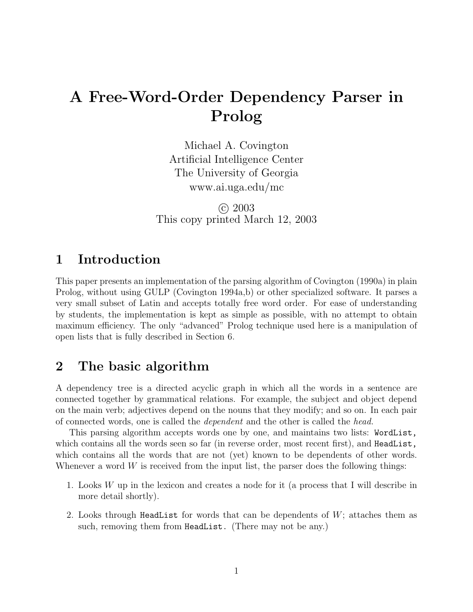# **A Free-Word-Order Dependency Parser in Prolog**

Michael A. Covington Artificial Intelligence Center The University of Georgia www.ai.uga.edu/mc

c 2003 This copy printed March 12, 2003

### **1 Introduction**

This paper presents an implementation of the parsing algorithm of Covington (1990a) in plain Prolog, without using GULP (Covington 1994a,b) or other specialized software. It parses a very small subset of Latin and accepts totally free word order. For ease of understanding by students, the implementation is kept as simple as possible, with no attempt to obtain maximum efficiency. The only "advanced" Prolog technique used here is a manipulation of open lists that is fully described in Section 6.

### **2 The basic algorithm**

A dependency tree is a directed acyclic graph in which all the words in a sentence are connected together by grammatical relations. For example, the subject and object depend on the main verb; adjectives depend on the nouns that they modify; and so on. In each pair of connected words, one is called the *dependent* and the other is called the *head.*

This parsing algorithm accepts words one by one, and maintains two lists: WordList, which contains all the words seen so far (in reverse order, most recent first), and HeadList, which contains all the words that are not (yet) known to be dependents of other words. Whenever a word *W* is received from the input list, the parser does the following things:

- 1. Looks *W* up in the lexicon and creates a node for it (a process that I will describe in more detail shortly).
- 2. Looks through HeadList for words that can be dependents of *W*; attaches them as such, removing them from HeadList. (There may not be any.)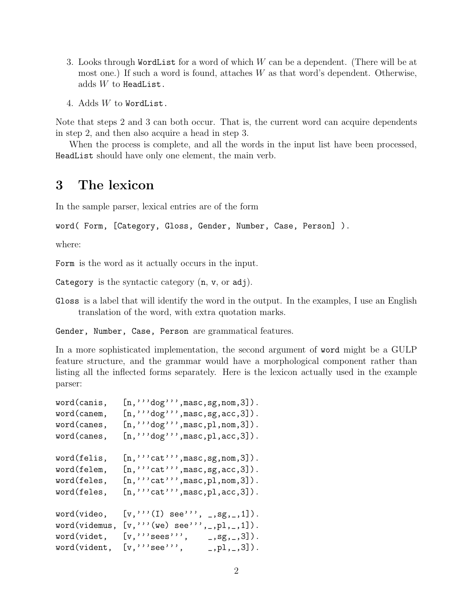- 3. Looks through WordList for a word of which *W* can be a dependent. (There will be at most one.) If such a word is found, attaches *W* as that word's dependent. Otherwise, adds *W* to HeadList.
- 4. Adds *W* to WordList.

Note that steps 2 and 3 can both occur. That is, the current word can acquire dependents in step 2, and then also acquire a head in step 3.

When the process is complete, and all the words in the input list have been processed, HeadList should have only one element, the main verb.

### **3 The lexicon**

In the sample parser, lexical entries are of the form

word( Form, [Category, Gloss, Gender, Number, Case, Person] ).

where:

Form is the word as it actually occurs in the input.

Category is the syntactic category  $(n, v, or adj)$ .

Gloss is a label that will identify the word in the output. In the examples, I use an English translation of the word, with extra quotation marks.

Gender, Number, Case, Person are grammatical features.

In a more sophisticated implementation, the second argument of word might be a GULP feature structure, and the grammar would have a morphological component rather than listing all the inflected forms separately. Here is the lexicon actually used in the example parser:

| word(canis,   | $[n, '''\text{dog}'$ , $n$ asc, sg, nom, 3]).              |
|---------------|------------------------------------------------------------|
| word(canem,   | [n, " 'dog' " , mass, sg, acc, 3]).                        |
| word(canes,   | $[n, ''''$ dog''', masc, pl, nom, 3]).                     |
| word(canes,   | $[n, '''dog'$ , masc, pl, acc, 3]).                        |
| word(felis,   | $[n, " 'cat " ', \text{masc}, \text{sg}, \text{nom}, 3]).$ |
| word(felem,   | $[n, " 'cat " , \text{masc}, \text{sg}, \text{acc}, 3]).$  |
| word(feles,   | $[n, " 'cat " , \text{masc}, \text{pl}, \text{nom}, 3]).$  |
| word(feles,   | $[n, " 'cat " , \text{masc}, \text{pl}, \text{acc}, 3]).$  |
| word(video,   | $[v, \dots (I)$ see"",<br>$\_,$ sg, $\_,$ 1]).             |
| word(videmus, | $[v, \dots (we) \text{ see}'')$<br>,_,pl,_,1]).            |
| word(videt,   | [v, " "sees",<br>$_{-}$ , sg, $_{-}$ , 3]).                |
| word(vident,  | [v, " "see "",<br>$_{-}$ , p1, $_{-}$ , 3]).               |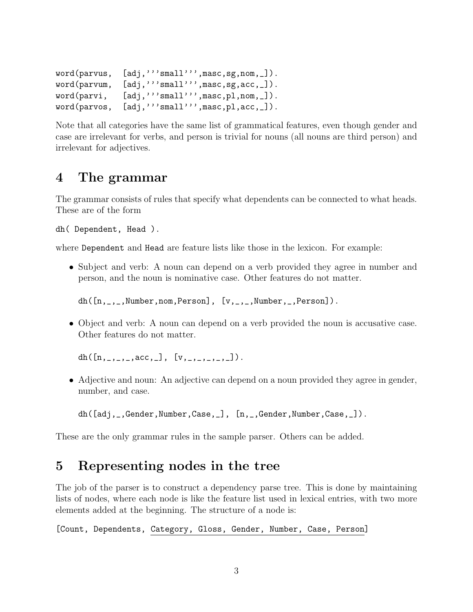```
word(parvus, [adj,'''small''', masc,sg,nom, _]).
word(parvum, [adj,'''small''',masc,sg,acc,_]).
word(parvi, [adj,'''small''', masc, pl, nom, _]).
word(parvos, [adj,'''small''', masc, pl, acc, _]).
```
Note that all categories have the same list of grammatical features, even though gender and case are irrelevant for verbs, and person is trivial for nouns (all nouns are third person) and irrelevant for adjectives.

### **4 The grammar**

The grammar consists of rules that specify what dependents can be connected to what heads. These are of the form

```
dh( Dependent, Head ).
```
where Dependent and Head are feature lists like those in the lexicon. For example:

• Subject and verb: A noun can depend on a verb provided they agree in number and person, and the noun is nominative case. Other features do not matter.

 $dh([n, \_,\_,\mathtt{Number},\mathtt{nom},\mathtt{Person}], [v, \_,\_,\mathtt{Number},\_,\mathtt{Person}]).$ 

• Object and verb: A noun can depend on a verb provided the noun is accusative case. Other features do not matter.

```
dh([n_{1},...,n_{c},n_{c},], [v_{1},...,...,]).
```
• Adjective and noun: An adjective can depend on a noun provided they agree in gender, number, and case.

```
dh([adj,_,Gender,Number,Case,_], [n,_,Gender,Number,Case,_]).
```
These are the only grammar rules in the sample parser. Others can be added.

### **5 Representing nodes in the tree**

The job of the parser is to construct a dependency parse tree. This is done by maintaining lists of nodes, where each node is like the feature list used in lexical entries, with two more elements added at the beginning. The structure of a node is:

[Count, Dependents, Category, Gloss, Gender, Number, Case, Person]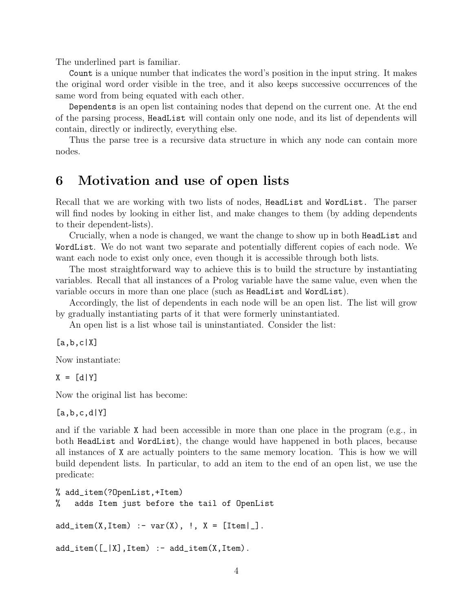The underlined part is familiar.

Count is a unique number that indicates the word's position in the input string. It makes the original word order visible in the tree, and it also keeps successive occurrences of the same word from being equated with each other.

Dependents is an open list containing nodes that depend on the current one. At the end of the parsing process, HeadList will contain only one node, and its list of dependents will contain, directly or indirectly, everything else.

Thus the parse tree is a recursive data structure in which any node can contain more nodes.

### **6 Motivation and use of open lists**

Recall that we are working with two lists of nodes, HeadList and WordList. The parser will find nodes by looking in either list, and make changes to them (by adding dependents to their dependent-lists).

Crucially, when a node is changed, we want the change to show up in both HeadList and WordList. We do not want two separate and potentially different copies of each node. We want each node to exist only once, even though it is accessible through both lists.

The most straightforward way to achieve this is to build the structure by instantiating variables. Recall that all instances of a Prolog variable have the same value, even when the variable occurs in more than one place (such as HeadList and WordList).

Accordingly, the list of dependents in each node will be an open list. The list will grow by gradually instantiating parts of it that were formerly uninstantiated.

An open list is a list whose tail is uninstantiated. Consider the list:

[a,b,c|X]

Now instantiate:

 $X = [d|Y]$ 

Now the original list has become:

 $[a,b,c,d|Y]$ 

and if the variable X had been accessible in more than one place in the program (e.g., in both HeadList and WordList), the change would have happened in both places, because all instances of X are actually pointers to the same memory location. This is how we will build dependent lists. In particular, to add an item to the end of an open list, we use the predicate:

```
% add_item(?OpenList,+Item)
% adds Item just before the tail of OpenList
add\_item(X,Item) :- var(X), !, X = [Item | ].
add\_item([[]X],Item) :- add\_item(X,Item).
```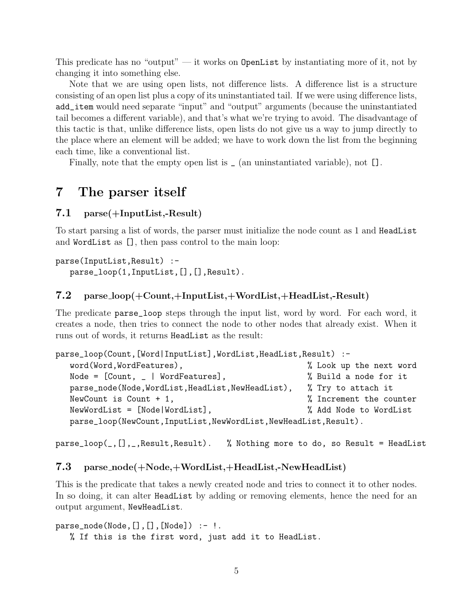This predicate has no "output" — it works on OpenList by instantiating more of it, not by changing it into something else.

Note that we are using open lists, not difference lists. A difference list is a structure consisting of an open list plus a copy of its uninstantiated tail. If we were using difference lists, add\_item would need separate "input" and "output" arguments (because the uninstantiated tail becomes a different variable), and that's what we're trying to avoid. The disadvantage of this tactic is that, unlike difference lists, open lists do not give us a way to jump directly to the place where an element will be added; we have to work down the list from the beginning each time, like a conventional list.

Finally, note that the empty open list is  $\Box$  (an uninstantiated variable), not [].

### **7 The parser itself**

#### **7.1 parse(+InputList,-Result)**

To start parsing a list of words, the parser must initialize the node count as 1 and HeadList and WordList as [], then pass control to the main loop:

```
parse(InputList,Result) :-
   parse_loop(1,InputList,[],[],Result).
```
#### **7.2 parse loop(+Count,+InputList,+WordList,+HeadList,-Result)**

The predicate parse\_loop steps through the input list, word by word. For each word, it creates a node, then tries to connect the node to other nodes that already exist. When it runs out of words, it returns HeadList as the result:

| parse_loop(Count,[Word InputList],WordList,HeadList,Result) :-     |                         |
|--------------------------------------------------------------------|-------------------------|
| word(Word, WordFeatures),                                          | % Look up the next word |
| Node = $[Count, -   WordFeatures],$                                | % Build a node for it   |
| parse_node(Node,WordList,HeadList,NewHeadList),                    | % Try to attach it      |
| NewCount is Count $+1$ ,                                           | % Increment the counter |
| $NewWordList = [Node WordList],$                                   | % Add Node to WordList  |
| parse_loop(NewCount, InputList, NewWordList, NewHeadList, Result). |                         |

parse\_loop(\_,[],\_,Result,Result). % Nothing more to do, so Result = HeadList

#### **7.3 parse node(+Node,+WordList,+HeadList,-NewHeadList)**

This is the predicate that takes a newly created node and tries to connect it to other nodes. In so doing, it can alter HeadList by adding or removing elements, hence the need for an output argument, NewHeadList.

```
parse\_node(Node, [], [], [Node]) :- !.
   % If this is the first word, just add it to HeadList.
```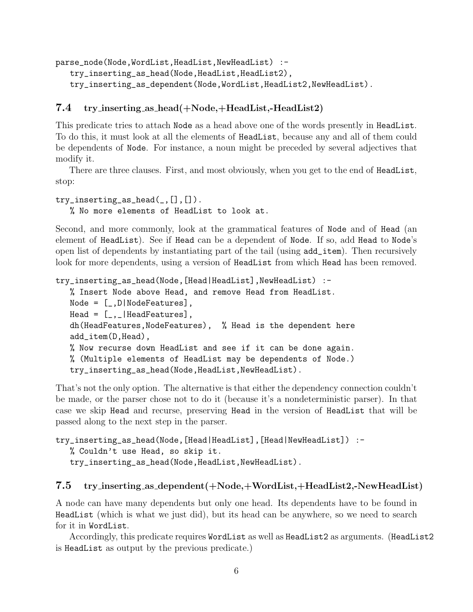parse\_node(Node,WordList,HeadList,NewHeadList) :-

try\_inserting\_as\_head(Node,HeadList,HeadList2), try\_inserting\_as\_dependent(Node,WordList,HeadList2,NewHeadList).

#### **7.4 try inserting as head(+Node,+HeadList,-HeadList2)**

This predicate tries to attach Node as a head above one of the words presently in HeadList. To do this, it must look at all the elements of HeadList, because any and all of them could be dependents of Node. For instance, a noun might be preceded by several adjectives that modify it.

There are three clauses. First, and most obviously, when you get to the end of HeadList, stop:

```
try_inserting_as_head(_,[],[]).
```
% No more elements of HeadList to look at.

Second, and more commonly, look at the grammatical features of Node and of Head (an element of HeadList). See if Head can be a dependent of Node. If so, add Head to Node's open list of dependents by instantiating part of the tail (using add\_item). Then recursively look for more dependents, using a version of HeadList from which Head has been removed.

```
try_inserting_as_head(Node,[Head|HeadList],NewHeadList) :-
  % Insert Node above Head, and remove Head from HeadList.
   Node = [-, D|NodeFeatures],Head = [-, ]HeadFeatures],dh(HeadFeatures,NodeFeatures), % Head is the dependent here
   add_item(D,Head),
   % Now recurse down HeadList and see if it can be done again.
   % (Multiple elements of HeadList may be dependents of Node.)
   try_inserting_as_head(Node,HeadList,NewHeadList).
```
That's not the only option. The alternative is that either the dependency connection couldn't be made, or the parser chose not to do it (because it's a nondeterministic parser). In that case we skip Head and recurse, preserving Head in the version of HeadList that will be passed along to the next step in the parser.

```
try_inserting_as_head(Node,[Head|HeadList],[Head|NewHeadList]) :-
   % Couldn't use Head, so skip it.
   try_inserting_as_head(Node,HeadList,NewHeadList).
```
#### **7.5 try inserting as dependent(+Node,+WordList,+HeadList2,-NewHeadList)**

A node can have many dependents but only one head. Its dependents have to be found in HeadList (which is what we just did), but its head can be anywhere, so we need to search for it in WordList.

Accordingly, this predicate requires WordList as well as HeadList2 as arguments. (HeadList2 is HeadList as output by the previous predicate.)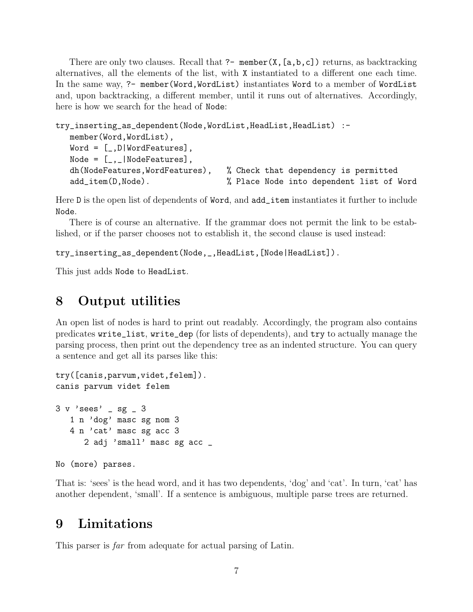There are only two clauses. Recall that  $?$ - member(X, [a,b,c]) returns, as backtracking alternatives, all the elements of the list, with X instantiated to a different one each time. In the same way, ?- member(Word,WordList) instantiates Word to a member of WordList and, upon backtracking, a different member, until it runs out of alternatives. Accordingly, here is how we search for the head of Node:

```
try_inserting_as_dependent(Node,WordList,HeadList,HeadList) :-
  member(Word,WordList),
  Word = [-, D|WordFeatures],Node = [-, ]NodeFeatures],
  dh(NodeFeatures,WordFeatures), % Check that dependency is permitted
  add_item(D,Node). % Place Node into dependent list of Word
```
Here D is the open list of dependents of Word, and add\_item instantiates it further to include Node.

There is of course an alternative. If the grammar does not permit the link to be established, or if the parser chooses not to establish it, the second clause is used instead:

try\_inserting\_as\_dependent(Node,\_,HeadList,[Node|HeadList]).

This just adds Node to HeadList.

### **8 Output utilities**

An open list of nodes is hard to print out readably. Accordingly, the program also contains predicates write\_list, write\_dep (for lists of dependents), and try to actually manage the parsing process, then print out the dependency tree as an indented structure. You can query a sentence and get all its parses like this:

```
try([canis,parvum,videt,felem]).
canis parvum videt felem
3 v 'sees' _ sg _ 3
   1 n 'dog' masc sg nom 3
   4 n 'cat' masc sg acc 3
      2 adj 'small' masc sg acc _
```

```
No (more) parses.
```
That is: 'sees' is the head word, and it has two dependents, 'dog' and 'cat'. In turn, 'cat' has another dependent, 'small'. If a sentence is ambiguous, multiple parse trees are returned.

### **9 Limitations**

This parser is *far* from adequate for actual parsing of Latin.